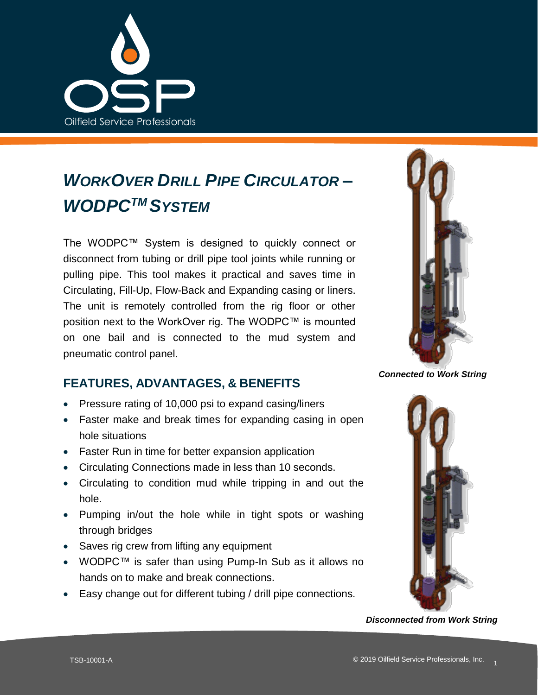

## *WORKOVER DRILL PIPE CIRCULATOR – WODPCTM SYSTEM*

The WODPC™ System is designed to quickly connect or disconnect from tubing or drill pipe tool joints while running or pulling pipe. This tool makes it practical and saves time in Circulating, Fill-Up, Flow-Back and Expanding casing or liners. The unit is remotely controlled from the rig floor or other position next to the WorkOver rig. The WODPC™ is mounted on one bail and is connected to the mud system and pneumatic control panel.



*Connected to Work String*

## **FEATURES, ADVANTAGES, & BENEFITS**

- Pressure rating of 10,000 psi to expand casing/liners
- Faster make and break times for expanding casing in open hole situations
- Faster Run in time for better expansion application
- Circulating Connections made in less than 10 seconds.
- Circulating to condition mud while tripping in and out the hole.
- Pumping in/out the hole while in tight spots or washing through bridges
- Saves rig crew from lifting any equipment
- WODPC™ is safer than using Pump-In Sub as it allows no hands on to make and break connections.
- Easy change out for different tubing / drill pipe connections.



*Disconnected from Work String*